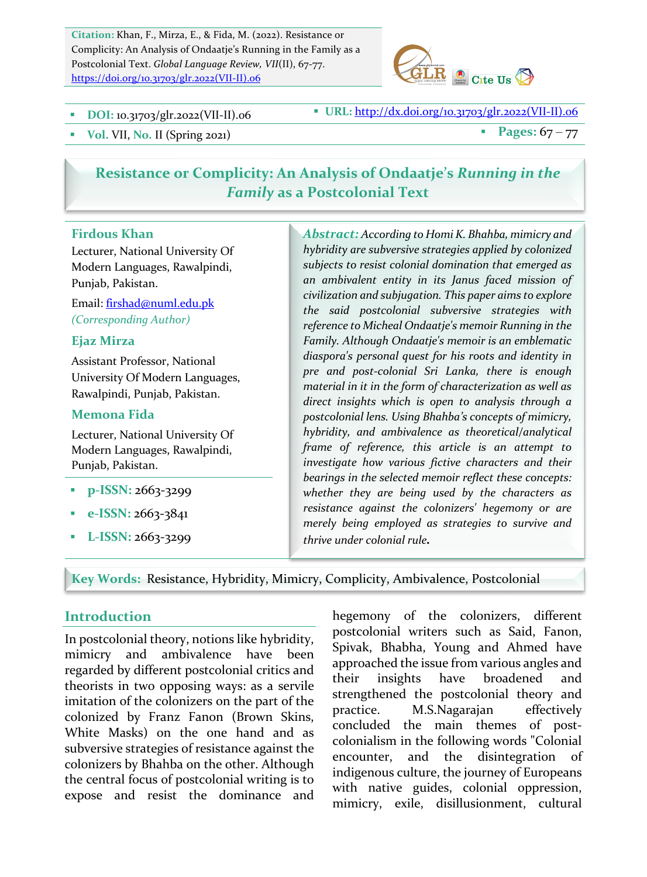Citation: Khan, F., Mirza, E., & Fida, M. (2022). Resistance or Complicity: An Analysis of Ondaatje's Running in the Family as a Postcolonial Text. *Global Language Review, VII*(II), 67-77. https://doi.org/10.31703/glr.2022(VII-II).06



**DOI:** 10.31703/glr.2022(VII-II).06 **BUL: WEL:** http://dx.doi.org/10.31703/glr.2022(VII-II).06

• Vol. VII, No. II (Spring 2021) **•** Pages:  $67 - 77$ 

# **Resistance or Complicity: An Analysis of Ondaatje's Running in the Family** as a Postcolonial Text

### **Firdous Khan**

Lecturer, National University Of Modern Languages, Rawalpindi, Punjab, Pakistan.

Email: firshad@numl.edu.pk *(Corresponding Author)*

#### **Ejaz Mirza**

Assistant Professor, National University Of Modern Languages, Rawalpindi, Punjab, Pakistan.

### **Memona Fida**

Lecturer, National University Of Modern Languages, Rawalpindi, Punjab, Pakistan.

- **p-ISSN: 2663-3299**
- § **e-ISSN:** 2663-3841
- § **L-ISSN:** 2663-3299

Abstract: According to Homi K. Bhahba, mimicry and hybridity are subversive strategies applied by colonized subjects to resist colonial domination that emerged as *an ambivalent entity in its Janus faced mission of*  civilization and subjugation. This paper aims to explore *the said postcolonial subversive strategies with*  reference to Micheal Ondaatje's memoir Running in the Family. Although Ondaatje's memoir is an emblematic diaspora's personal quest for his roots and identity in *pre and post-colonial Sri Lanka, there is enough*  material in it in the form of characterization as well as *direct insights which is open to analysis through a postcolonial lens. Using Bhahba's concepts of mimicry, hybridity, and ambivalence as theoretical/analytical frame of reference, this article is an attempt to*  investigate how various fictive characters and their *bearings in the selected memoir reflect these concepts:* whether they are being used by the characters as resistance against the colonizers' hegemony or are *merely being employed as strategies to survive and thrive under colonial rule.* 

Key Words: Resistance, Hybridity, Mimicry, Complicity, Ambivalence, Postcolonial

### **Introduction**

In postcolonial theory, notions like hybridity, mimicry and ambivalence have been regarded by different postcolonial critics and theorists in two opposing ways: as a servile imitation of the colonizers on the part of the colonized by Franz Fanon (Brown Skins, White Masks) on the one hand and as subversive strategies of resistance against the colonizers by Bhahba on the other. Although the central focus of postcolonial writing is to expose and resist the dominance and hegemony of the colonizers, different postcolonial writers such as Said, Fanon, Spivak, Bhabha, Young and Ahmed have approached the issue from various angles and their insights have broadened and strengthened the postcolonial theory and practice. M.S.Nagarajan effectively concluded the main themes of postcolonialism in the following words "Colonial" encounter, and the disintegration of indigenous culture, the journey of Europeans with native guides, colonial oppression, mimicry, exile, disillusionment, cultural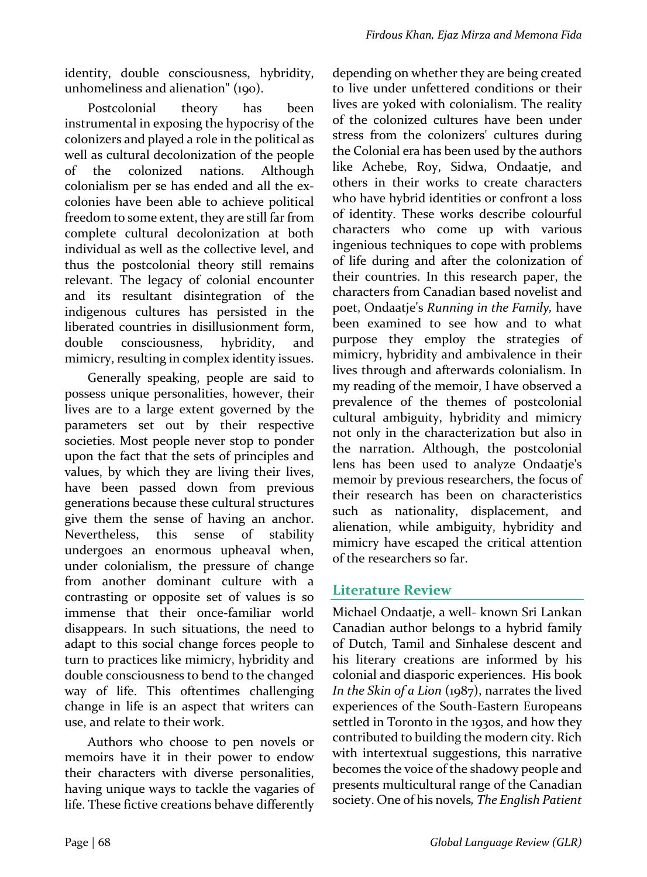identity, double consciousness, hybridity, unhomeliness and alienation" (190).

Postcolonial theory has been instrumental in exposing the hypocrisy of the colonizers and played a role in the political as well as cultural decolonization of the people of the colonized nations. Although colonialism per se has ended and all the excolonies have been able to achieve political freedom to some extent, they are still far from complete cultural decolonization at both individual as well as the collective level, and thus the postcolonial theory still remains relevant. The legacy of colonial encounter and its resultant disintegration of the indigenous cultures has persisted in the liberated countries in disillusionment form, double consciousness, hybridity, and mimicry, resulting in complex identity issues.

Generally speaking, people are said to possess unique personalities, however, their lives are to a large extent governed by the parameters set out by their respective societies. Most people never stop to ponder upon the fact that the sets of principles and values, by which they are living their lives, have been passed down from previous generations because these cultural structures give them the sense of having an anchor. Nevertheless, this sense of stability undergoes an enormous upheaval when, under colonialism, the pressure of change from another dominant culture with a contrasting or opposite set of values is so immense that their once-familiar world disappears. In such situations, the need to adapt to this social change forces people to turn to practices like mimicry, hybridity and double consciousness to bend to the changed way of life. This oftentimes challenging change in life is an aspect that writers can use, and relate to their work.

Authors who choose to pen novels or memoirs have it in their power to endow their characters with diverse personalities, having unique ways to tackle the vagaries of life. These fictive creations behave differently depending on whether they are being created to live under unfettered conditions or their lives are yoked with colonialism. The reality of the colonized cultures have been under stress from the colonizers' cultures during the Colonial era has been used by the authors like Achebe, Roy, Sidwa, Ondaatje, and others in their works to create characters who have hybrid identities or confront a loss of identity. These works describe colourful characters who come up with various ingenious techniques to cope with problems of life during and after the colonization of their countries. In this research paper, the characters from Canadian based novelist and poet, Ondaatje's *Running in the Family*, have been examined to see how and to what purpose they employ the strategies of mimicry, hybridity and ambivalence in their lives through and afterwards colonialism. In my reading of the memoir, I have observed a prevalence of the themes of postcolonial cultural ambiguity, hybridity and mimicry not only in the characterization but also in the narration. Although, the postcolonial lens has been used to analyze Ondaatje's memoir by previous researchers, the focus of their research has been on characteristics such as nationality, displacement, and alienation, while ambiguity, hybridity and mimicry have escaped the critical attention of the researchers so far.

## **Literature Review**

Michael Ondaatje, a well- known Sri Lankan Canadian author belongs to a hybrid family of Dutch, Tamil and Sinhalese descent and his literary creations are informed by his colonial and diasporic experiences. His book *In the Skin of a Lion* (1987), narrates the lived experiences of the South-Eastern Europeans settled in Toronto in the 1930s, and how they contributed to building the modern city. Rich with intertextual suggestions, this narrative becomes the voice of the shadowy people and presents multicultural range of the Canadian society. One of his novels, The English Patient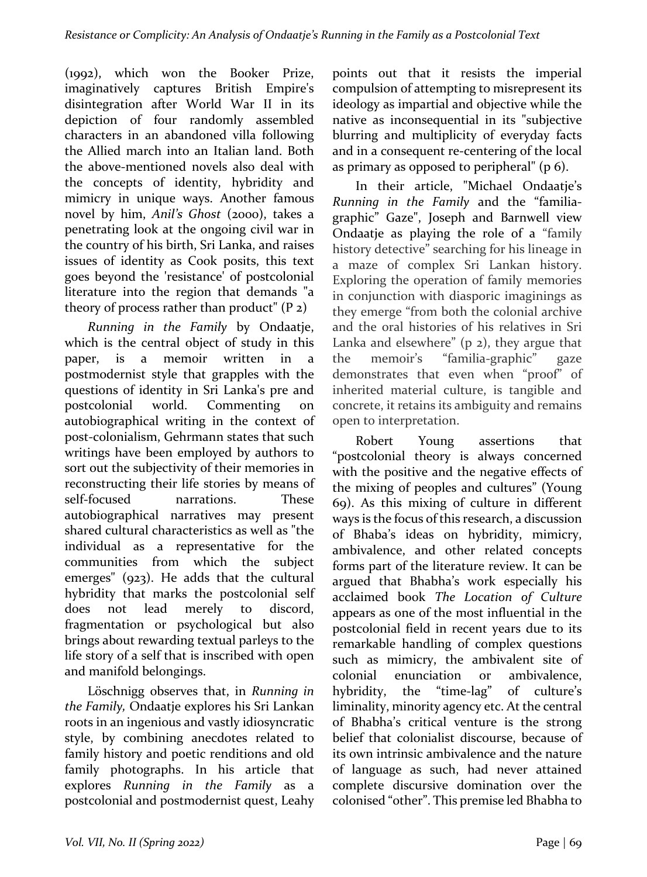(1992), which won the Booker Prize, imaginatively captures British Empire's disintegration after World War II in its depiction of four randomly assembled characters in an abandoned villa following the Allied march into an Italian land. Both the above-mentioned novels also deal with the concepts of identity, hybridity and mimicry in unique ways. Another famous novel by him, *Anil's* Ghost (2000), takes a penetrating look at the ongoing civil war in the country of his birth, Sri Lanka, and raises issues of identity as Cook posits, this text goes beyond the 'resistance' of postcolonial literature into the region that demands "a theory of process rather than product"  $(P_2)$ 

*Running in the Family* by Ondaatje, which is the central object of study in this paper, is a memoir written in a postmodernist style that grapples with the questions of identity in Sri Lanka's pre and postcolonial world. Commenting on autobiographical writing in the context of post-colonialism, Gehrmann states that such writings have been employed by authors to sort out the subjectivity of their memories in reconstructing their life stories by means of self-focused narrations. These autobiographical narratives may present shared cultural characteristics as well as "the individual as a representative for the communities from which the subject emerges"  $(923)$ . He adds that the cultural hybridity that marks the postcolonial self does not lead merely to discord, fragmentation or psychological but also brings about rewarding textual parleys to the life story of a self that is inscribed with open and manifold belongings.

Löschnigg observes that, in *Running* in the Family, Ondaatje explores his Sri Lankan roots in an ingenious and vastly idiosyncratic style, by combining anecdotes related to family history and poetic renditions and old family photographs. In his article that explores Running in the Family as a postcolonial and postmodernist quest, Leahy points out that it resists the imperial compulsion of attempting to misrepresent its ideology as impartial and objective while the native as inconsequential in its "subjective blurring and multiplicity of everyday facts and in a consequent re-centering of the local as primary as opposed to peripheral"  $(p 6)$ .

In their article, "Michael Ondaatje's *Running in the Family* and the "familiagraphic" Gaze", Joseph and Barnwell view Ondaatje as playing the role of a "family history detective" searching for his lineage in a maze of complex Sri Lankan history. Exploring the operation of family memories in conjunction with diasporic imaginings as they emerge "from both the colonial archive and the oral histories of his relatives in Sri Lanka and elsewhere"  $(p 2)$ , they argue that the memoir's "familia-graphic" gaze demonstrates that even when "proof" of inherited material culture, is tangible and concrete, it retains its ambiguity and remains open to interpretation.

Robert Young assertions that "postcolonial theory is always concerned with the positive and the negative effects of the mixing of peoples and cultures" (Young 69). As this mixing of culture in different ways is the focus of this research, a discussion of Bhaba's ideas on hybridity, mimicry, ambivalence, and other related concepts forms part of the literature review. It can be argued that Bhabha's work especially his acclaimed book *The Location of Culture* appears as one of the most influential in the postcolonial field in recent years due to its remarkable handling of complex questions such as mimicry, the ambivalent site of colonial enunciation or ambivalence, hybridity, the "time-lag" of culture's liminality, minority agency etc. At the central of Bhabha's critical venture is the strong belief that colonialist discourse, because of its own intrinsic ambivalence and the nature of language as such, had never attained complete discursive domination over the colonised "other". This premise led Bhabha to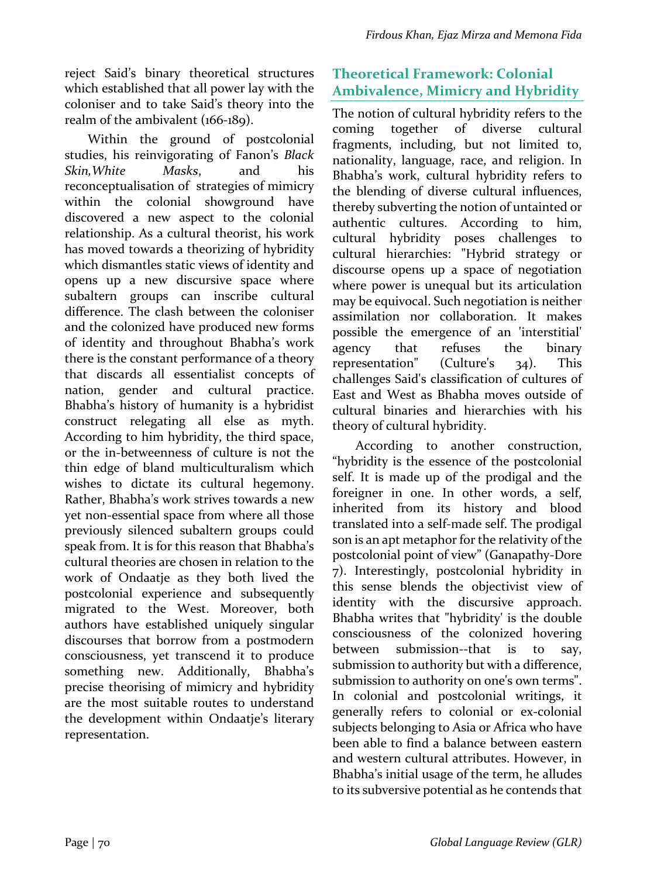reject Said's binary theoretical structures which established that all power lay with the coloniser and to take Said's theory into the realm of the ambivalent  $(166-189)$ .

Within the ground of postcolonial studies, his reinvigorating of Fanon's *Black Skin,White Masks*, and his reconceptualisation of strategies of mimicry within the colonial showground have discovered a new aspect to the colonial relationship. As a cultural theorist, his work has moved towards a theorizing of hybridity which dismantles static views of identity and opens up a new discursive space where subaltern groups can inscribe cultural difference. The clash between the coloniser and the colonized have produced new forms of identity and throughout Bhabha's work there is the constant performance of a theory that discards all essentialist concepts of nation, gender and cultural practice. Bhabha's history of humanity is a hybridist construct relegating all else as myth. According to him hybridity, the third space, or the in-betweenness of culture is not the thin edge of bland multiculturalism which wishes to dictate its cultural hegemony. Rather, Bhabha's work strives towards a new yet non-essential space from where all those previously silenced subaltern groups could speak from. It is for this reason that Bhabha's cultural theories are chosen in relation to the work of Ondaatje as they both lived the postcolonial experience and subsequently migrated to the West. Moreover, both authors have established uniquely singular discourses that borrow from a postmodern consciousness, yet transcend it to produce something new. Additionally, Bhabha's precise theorising of mimicry and hybridity are the most suitable routes to understand the development within Ondaatje's literary representation.

# **Theoretical Framework: Colonial Ambivalence, Mimicry and Hybridity**

The notion of cultural hybridity refers to the coming together of diverse cultural fragments, including, but not limited to, nationality, language, race, and religion. In Bhabha's work, cultural hybridity refers to the blending of diverse cultural influences, thereby subverting the notion of untainted or authentic cultures. According to him, cultural hybridity poses challenges to cultural hierarchies: "Hybrid strategy or discourse opens up a space of negotiation where power is unequal but its articulation may be equivocal. Such negotiation is neither assimilation nor collaboration. It makes possible the emergence of an 'interstitial' agency that refuses the binary representation"  $\alpha$  (Culture's  $\alpha$ <sub>34</sub>). This challenges Said's classification of cultures of East and West as Bhabha moves outside of cultural binaries and hierarchies with his theory of cultural hybridity.

According to another construction, "hybridity is the essence of the postcolonial self. It is made up of the prodigal and the foreigner in one. In other words, a self, inherited from its history and blood translated into a self-made self. The prodigal son is an apt metaphor for the relativity of the postcolonial point of view" (Ganapathy-Dore 7). Interestingly, postcolonial hybridity in this sense blends the objectivist view of identity with the discursive approach. Bhabha writes that "hybridity' is the double consciousness of the colonized hovering between submission--that is to say, submission to authority but with a difference, submission to authority on one's own terms". In colonial and postcolonial writings, it generally refers to colonial or ex-colonial subjects belonging to Asia or Africa who have been able to find a balance between eastern and western cultural attributes. However, in Bhabha's initial usage of the term, he alludes to its subversive potential as he contends that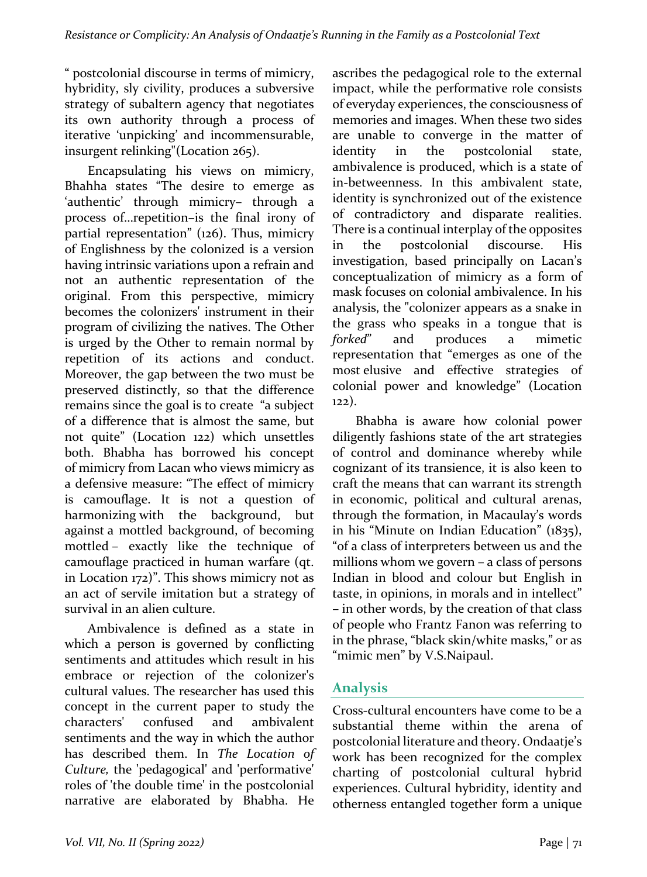" postcolonial discourse in terms of mimicry, hybridity, sly civility, produces a subversive strategy of subaltern agency that negotiates its own authority through a process of iterative 'unpicking' and incommensurable, insurgent relinking"(Location  $265$ ).

Encapsulating his views on mimicry, Bhahha states "The desire to emerge as 'authentic' through mimicry- through a process of...repetition–is the final irony of partial representation" (126). Thus, mimicry of Englishness by the colonized is a version having intrinsic variations upon a refrain and not an authentic representation of the original. From this perspective, mimicry becomes the colonizers' instrument in their program of civilizing the natives. The Other is urged by the Other to remain normal by repetition of its actions and conduct. Moreover, the gap between the two must be preserved distinctly, so that the difference remains since the goal is to create "a subject of a difference that is almost the same, but not quite" (Location 122) which unsettles both. Bhabha has borrowed his concept of mimicry from Lacan who views mimicry as a defensive measure: "The effect of mimicry is camouflage. It is not a question of harmonizing with the background, but against a mottled background, of becoming mottled - exactly like the technique of camouflage practiced in human warfare (qt. in Location  $172$ )". This shows mimicry not as an act of servile imitation but a strategy of survival in an alien culture.

Ambivalence is defined as a state in which a person is governed by conflicting sentiments and attitudes which result in his embrace or rejection of the colonizer's cultural values. The researcher has used this concept in the current paper to study the characters' confused and ambivalent sentiments and the way in which the author has described them. In The Location of Culture, the 'pedagogical' and 'performative' roles of 'the double time' in the postcolonial narrative are elaborated by Bhabha. He

ascribes the pedagogical role to the external impact, while the performative role consists of everyday experiences, the consciousness of memories and images. When these two sides are unable to converge in the matter of identity in the postcolonial state, ambivalence is produced, which is a state of in-betweenness. In this ambivalent state, identity is synchronized out of the existence of contradictory and disparate realities. There is a continual interplay of the opposites in the postcolonial discourse. His investigation, based principally on Lacan's conceptualization of mimicry as a form of mask focuses on colonial ambivalence. In his analysis, the "colonizer appears as a snake in the grass who speaks in a tongue that is *forked*" and produces a mimetic representation that "emerges as one of the most elusive and effective strategies of colonial power and knowledge" (Location 122). 

Bhabha is aware how colonial power diligently fashions state of the art strategies of control and dominance whereby while cognizant of its transience, it is also keen to craft the means that can warrant its strength in economic, political and cultural arenas, through the formation, in Macaulay's words in his "Minute on Indian Education"  $(1835)$ , "of a class of interpreters between us and the millions whom we govern  $-$  a class of persons Indian in blood and colour but English in taste, in opinions, in morals and in intellect" – in other words, by the creation of that class of people who Frantz Fanon was referring to in the phrase, "black skin/white masks," or as "mimic men" by V.S.Naipaul.

## **Analysis**

Cross-cultural encounters have come to be a substantial theme within the arena of postcolonial literature and theory. Ondaatje's work has been recognized for the complex charting of postcolonial cultural hybrid experiences. Cultural hybridity, identity and otherness entangled together form a unique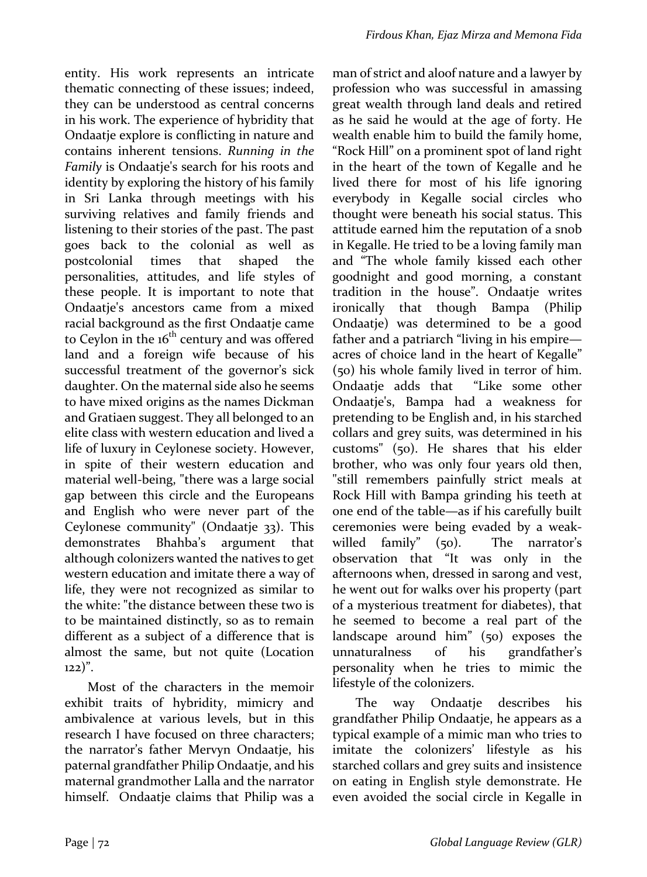entity. His work represents an intricate thematic connecting of these issues; indeed, they can be understood as central concerns in his work. The experience of hybridity that Ondaatje explore is conflicting in nature and contains inherent tensions. *Running in the Family* is Ondaatje's search for his roots and identity by exploring the history of his family in Sri Lanka through meetings with his surviving relatives and family friends and listening to their stories of the past. The past goes back to the colonial as well as postcolonial times that shaped the personalities, attitudes, and life styles of these people. It is important to note that Ondaatje's ancestors came from a mixed racial background as the first Ondaatje came to Ceylon in the  $16<sup>th</sup>$  century and was offered land and a foreign wife because of his successful treatment of the governor's sick daughter. On the maternal side also he seems to have mixed origins as the names Dickman and Gratiaen suggest. They all belonged to an elite class with western education and lived a life of luxury in Ceylonese society. However, in spite of their western education and material well-being, "there was a large social gap between this circle and the Europeans and English who were never part of the Ceylonese community" (Ondaatje 33). This demonstrates Bhahba's argument that although colonizers wanted the natives to get western education and imitate there a way of life, they were not recognized as similar to the white: "the distance between these two is to be maintained distinctly, so as to remain different as a subject of a difference that is almost the same, but not quite (Location  $122)$ ".

Most of the characters in the memoir exhibit traits of hybridity, mimicry and ambivalence at various levels, but in this research I have focused on three characters; the narrator's father Mervyn Ondaatje, his paternal grandfather Philip Ondaatje, and his maternal grandmother Lalla and the narrator himself. Ondaatje claims that Philip was a man of strict and aloof nature and a lawyer by profession who was successful in amassing great wealth through land deals and retired as he said he would at the age of forty. He wealth enable him to build the family home, "Rock Hill" on a prominent spot of land right in the heart of the town of Kegalle and he lived there for most of his life ignoring everybody in Kegalle social circles who thought were beneath his social status. This attitude earned him the reputation of a snob in Kegalle. He tried to be a loving family man and "The whole family kissed each other goodnight and good morning, a constant tradition in the house". Ondaatje writes ironically that though Bampa (Philip Ondaatje) was determined to be a good father and a patriarch "living in his empire acres of choice land in the heart of Kegalle" (50) his whole family lived in terror of him. Ondaatje adds that "Like some other Ondaatje's, Bampa had a weakness for pretending to be English and, in his starched collars and grey suits, was determined in his customs" (50). He shares that his elder brother, who was only four years old then, "still remembers painfully strict meals at Rock Hill with Bampa grinding his teeth at one end of the table—as if his carefully built ceremonies were being evaded by a weakwilled  $family''$  (50). The narrator's observation that "It was only in the afternoons when, dressed in sarong and vest, he went out for walks over his property (part of a mysterious treatment for diabetes), that he seemed to become a real part of the landscape around  $\lim$ " (50) exposes the unnaturalness of his grandfather's personality when he tries to mimic the lifestyle of the colonizers.

The way Ondaatje describes his grandfather Philip Ondaatje, he appears as a typical example of a mimic man who tries to imitate the colonizers' lifestyle as his starched collars and grey suits and insistence on eating in English style demonstrate. He even avoided the social circle in Kegalle in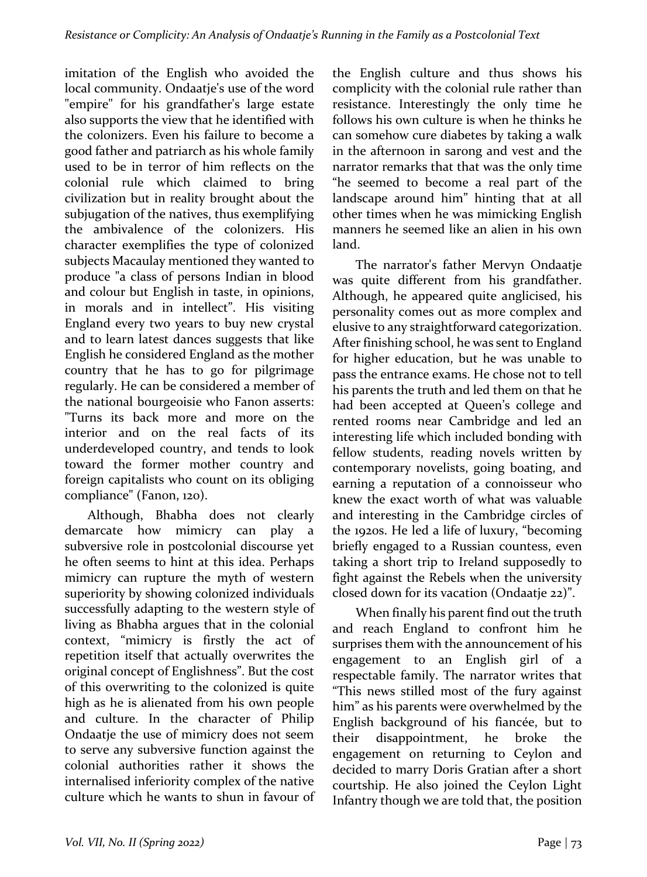imitation of the English who avoided the local community. Ondaatje's use of the word "empire" for his grandfather's large estate also supports the view that he identified with the colonizers. Even his failure to become a good father and patriarch as his whole family used to be in terror of him reflects on the colonial rule which claimed to bring civilization but in reality brought about the subjugation of the natives, thus exemplifying the ambivalence of the colonizers. His character exemplifies the type of colonized subjects Macaulay mentioned they wanted to produce "a class of persons Indian in blood and colour but English in taste, in opinions, in morals and in intellect". His visiting England every two years to buy new crystal and to learn latest dances suggests that like English he considered England as the mother country that he has to go for pilgrimage regularly. He can be considered a member of the national bourgeoisie who Fanon asserts: "Turns its back more and more on the interior and on the real facts of its underdeveloped country, and tends to look toward the former mother country and foreign capitalists who count on its obliging compliance" (Fanon, 120).

Although, Bhabha does not clearly demarcate how mimicry can play a subversive role in postcolonial discourse yet he often seems to hint at this idea. Perhaps mimicry can rupture the myth of western superiority by showing colonized individuals successfully adapting to the western style of living as Bhabha argues that in the colonial context, "mimicry is firstly the act of repetition itself that actually overwrites the original concept of Englishness". But the cost of this overwriting to the colonized is quite high as he is alienated from his own people and culture. In the character of Philip Ondaatje the use of mimicry does not seem to serve any subversive function against the colonial authorities rather it shows the internalised inferiority complex of the native culture which he wants to shun in favour of

the English culture and thus shows his complicity with the colonial rule rather than resistance. Interestingly the only time he follows his own culture is when he thinks he can somehow cure diabetes by taking a walk in the afternoon in sarong and vest and the narrator remarks that that was the only time "he seemed to become a real part of the landscape around him" hinting that at all other times when he was mimicking English manners he seemed like an alien in his own land.

The narrator's father Mervyn Ondaatje was quite different from his grandfather. Although, he appeared quite anglicised, his personality comes out as more complex and elusive to any straightforward categorization. After finishing school, he was sent to England for higher education, but he was unable to pass the entrance exams. He chose not to tell his parents the truth and led them on that he had been accepted at Queen's college and rented rooms near Cambridge and led an interesting life which included bonding with fellow students, reading novels written by contemporary novelists, going boating, and earning a reputation of a connoisseur who knew the exact worth of what was valuable and interesting in the Cambridge circles of the 1920s. He led a life of luxury, "becoming briefly engaged to a Russian countess, even taking a short trip to Ireland supposedly to fight against the Rebels when the university closed down for its vacation (Ondaatje 22)".

When finally his parent find out the truth and reach England to confront him he surprises them with the announcement of his engagement to an English girl of a respectable family. The narrator writes that "This news stilled most of the fury against him" as his parents were overwhelmed by the English background of his fiancée, but to their disappointment, he broke the engagement on returning to Ceylon and decided to marry Doris Gratian after a short courtship. He also joined the Ceylon Light Infantry though we are told that, the position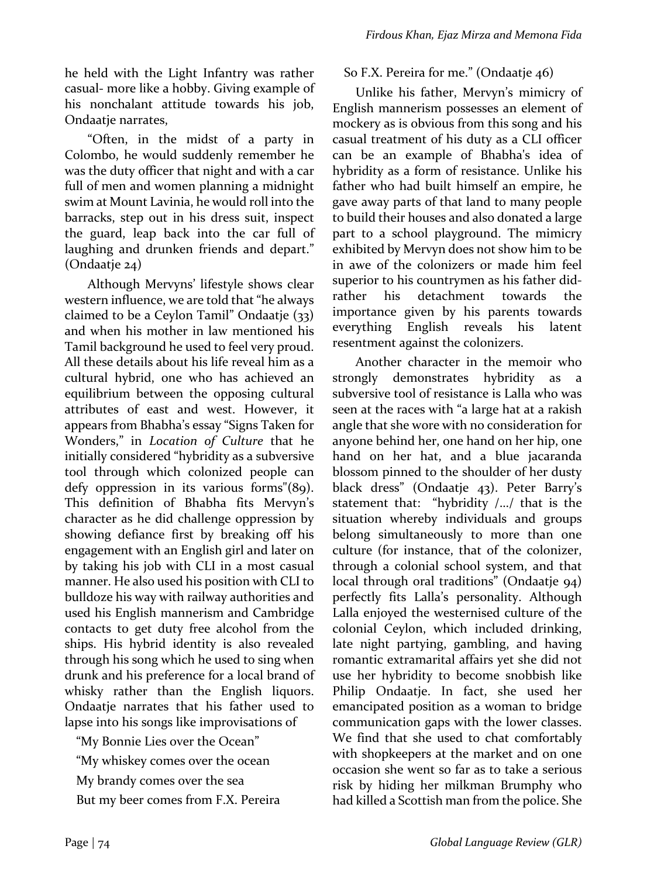he held with the Light Infantry was rather casual- more like a hobby. Giving example of his nonchalant attitude towards his job, Ondaatje narrates,

"Often, in the midst of a party in Colombo, he would suddenly remember he was the duty officer that night and with a car full of men and women planning a midnight swim at Mount Lavinia, he would roll into the barracks, step out in his dress suit, inspect the guard, leap back into the car full of laughing and drunken friends and depart."  $(Ondaatie 24)$ 

Although Mervyns' lifestyle shows clear western influence, we are told that "he always claimed to be a Ceylon Tamil" Ondaatje  $(33)$ and when his mother in law mentioned his Tamil background he used to feel very proud. All these details about his life reveal him as a cultural hybrid, one who has achieved an equilibrium between the opposing cultural attributes of east and west. However, it appears from Bhabha's essay "Signs Taken for Wonders," in *Location of Culture* that he initially considered "hybridity as a subversive tool through which colonized people can defy oppression in its various forms" $(89)$ . This definition of Bhabha fits Mervyn's character as he did challenge oppression by showing defiance first by breaking off his engagement with an English girl and later on by taking his job with CLI in a most casual manner. He also used his position with CLI to bulldoze his way with railway authorities and used his English mannerism and Cambridge contacts to get duty free alcohol from the ships. His hybrid identity is also revealed through his song which he used to sing when drunk and his preference for a local brand of whisky rather than the English liquors. Ondaatje narrates that his father used to lapse into his songs like improvisations of

"My Bonnie Lies over the Ocean" "My whiskey comes over the ocean My brandy comes over the sea But my beer comes from F.X. Pereira

### So F.X. Pereira for me." (Ondaatje 46)

Unlike his father, Mervyn's mimicry of English mannerism possesses an element of mockery as is obvious from this song and his casual treatment of his duty as a CLI officer can be an example of Bhabha's idea of hybridity as a form of resistance. Unlike his father who had built himself an empire, he gave away parts of that land to many people to build their houses and also donated a large part to a school playground. The mimicry exhibited by Mervyn does not show him to be in awe of the colonizers or made him feel superior to his countrymen as his father didrather his detachment towards the importance given by his parents towards everything English reveals his latent resentment against the colonizers.

Another character in the memoir who strongly demonstrates hybridity as a subversive tool of resistance is Lalla who was seen at the races with "a large hat at a rakish angle that she wore with no consideration for anyone behind her, one hand on her hip, one hand on her hat, and a blue jacaranda blossom pinned to the shoulder of her dusty black dress" (Ondaatje 43). Peter Barry's statement that: "hybridity /.../ that is the situation whereby individuals and groups belong simultaneously to more than one culture (for instance, that of the colonizer, through a colonial school system, and that local through oral traditions" (Ondaatje 94) perfectly fits Lalla's personality. Although Lalla enjoyed the westernised culture of the colonial Ceylon, which included drinking, late night partying, gambling, and having romantic extramarital affairs yet she did not use her hybridity to become snobbish like Philip Ondaatje. In fact, she used her emancipated position as a woman to bridge communication gaps with the lower classes. We find that she used to chat comfortably with shopkeepers at the market and on one occasion she went so far as to take a serious risk by hiding her milkman Brumphy who had killed a Scottish man from the police. She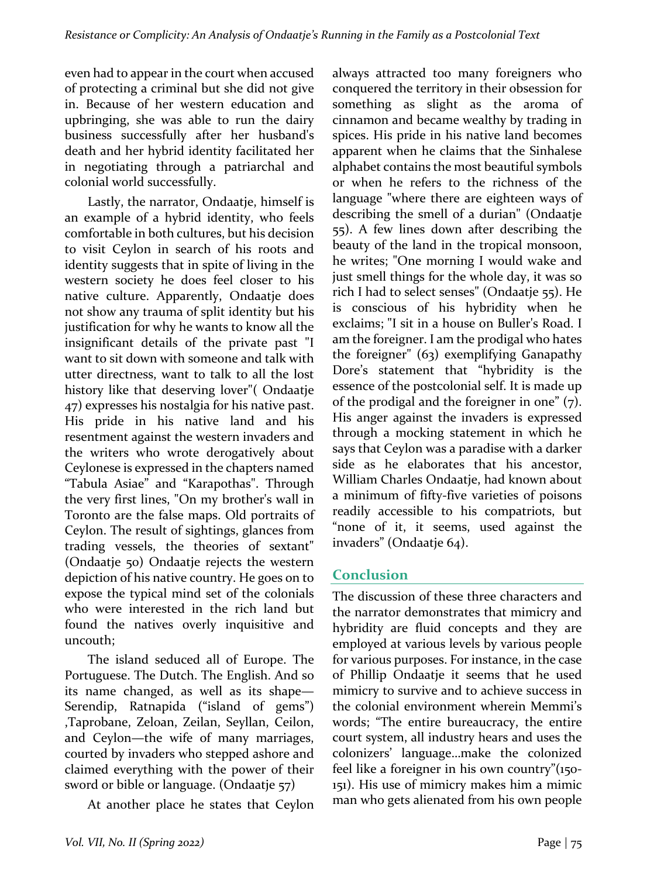even had to appear in the court when accused of protecting a criminal but she did not give in. Because of her western education and upbringing, she was able to run the dairy business successfully after her husband's death and her hybrid identity facilitated her in negotiating through a patriarchal and colonial world successfully.

Lastly, the narrator, Ondaatje, himself is an example of a hybrid identity, who feels comfortable in both cultures, but his decision to visit Ceylon in search of his roots and identity suggests that in spite of living in the western society he does feel closer to his native culture. Apparently, Ondaatje does not show any trauma of split identity but his justification for why he wants to know all the insignificant details of the private past "I want to sit down with someone and talk with utter directness, want to talk to all the lost history like that deserving lover"( Ondaatje 47) expresses his nostalgia for his native past. His pride in his native land and his resentment against the western invaders and the writers who wrote derogatively about Ceylonese is expressed in the chapters named "Tabula Asiae" and "Karapothas". Through the very first lines, "On my brother's wall in Toronto are the false maps. Old portraits of Ceylon. The result of sightings, glances from trading vessels, the theories of sextant" (Ondaatje 50) Ondaatje rejects the western depiction of his native country. He goes on to expose the typical mind set of the colonials who were interested in the rich land but found the natives overly inquisitive and uncouth; 

The island seduced all of Europe. The Portuguese. The Dutch. The English. And so its name changed, as well as its shape-Serendip, Ratnapida ("island of gems") ,Taprobane, Zeloan, Zeilan, Seyllan, Ceilon, and Ceylon—the wife of many marriages, courted by invaders who stepped ashore and claimed everything with the power of their sword or bible or language. (Ondaatje  $57$ )

At another place he states that Ceylon

always attracted too many foreigners who conquered the territory in their obsession for something as slight as the aroma of cinnamon and became wealthy by trading in spices. His pride in his native land becomes apparent when he claims that the Sinhalese alphabet contains the most beautiful symbols or when he refers to the richness of the language "where there are eighteen ways of describing the smell of a durian" (Ondaatje 55). A few lines down after describing the beauty of the land in the tropical monsoon, he writes; "One morning I would wake and just smell things for the whole day, it was so rich I had to select senses" (Ondaatje 55). He is conscious of his hybridity when he exclaims; "I sit in a house on Buller's Road. I am the foreigner. I am the prodigal who hates the foreigner"  $(63)$  exemplifying Ganapathy Dore's statement that "hybridity is the essence of the postcolonial self. It is made up of the prodigal and the foreigner in one"  $(7)$ . His anger against the invaders is expressed through a mocking statement in which he says that Ceylon was a paradise with a darker side as he elaborates that his ancestor, William Charles Ondaatje, had known about a minimum of fifty-five varieties of poisons readily accessible to his compatriots, but "none of it, it seems, used against the invaders" (Ondaatje 64).

## **Conclusion**

The discussion of these three characters and the narrator demonstrates that mimicry and hybridity are fluid concepts and they are employed at various levels by various people for various purposes. For instance, in the case of Phillip Ondaatje it seems that he used mimicry to survive and to achieve success in the colonial environment wherein Memmi's words; "The entire bureaucracy, the entire court system, all industry hears and uses the colonizers' language…make the colonized feel like a foreigner in his own country"( $150$ -151). His use of mimicry makes him a mimic man who gets alienated from his own people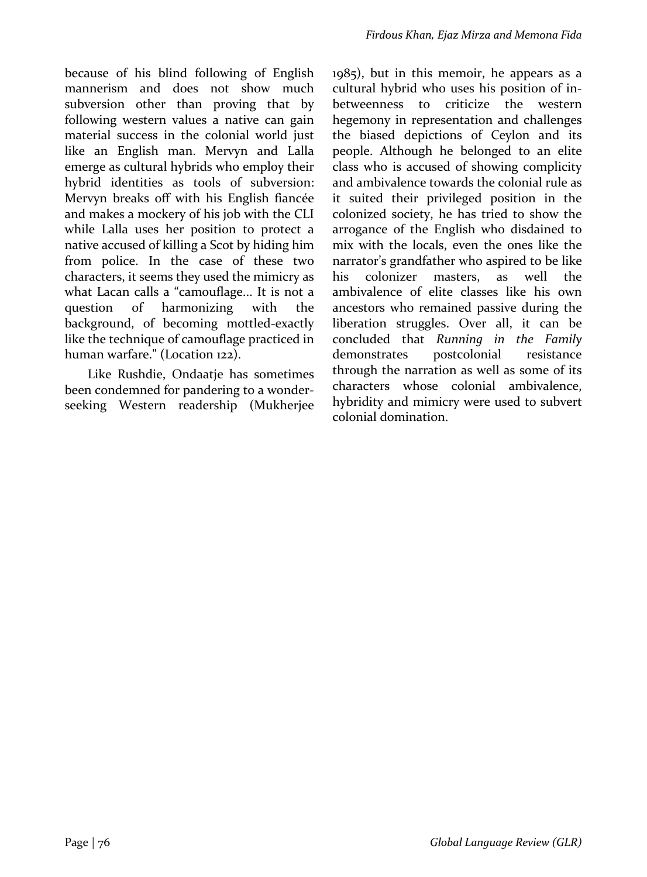because of his blind following of English mannerism and does not show much subversion other than proving that by following western values a native can gain material success in the colonial world just like an English man. Mervyn and Lalla emerge as cultural hybrids who employ their hybrid identities as tools of subversion: Mervyn breaks off with his English fiancée and makes a mockery of his job with the CLI while Lalla uses her position to protect a native accused of killing a Scot by hiding him from police. In the case of these two characters, it seems they used the mimicry as what Lacan calls a "camouflage... It is not a question of harmonizing with the background, of becoming mottled-exactly like the technique of camouflage practiced in human warfare." (Location 122).

Like Rushdie, Ondaatje has sometimes been condemned for pandering to a wonderseeking Western readership (Mukherjee  $1985$ ), but in this memoir, he appears as a cultural hybrid who uses his position of inbetweenness to criticize the western hegemony in representation and challenges the biased depictions of Ceylon and its people. Although he belonged to an elite class who is accused of showing complicity and ambivalence towards the colonial rule as it suited their privileged position in the colonized society, he has tried to show the arrogance of the English who disdained to mix with the locals, even the ones like the narrator's grandfather who aspired to be like his colonizer masters, as well the ambivalence of elite classes like his own ancestors who remained passive during the liberation struggles. Over all, it can be concluded that *Running in the Family* demonstrates postcolonial resistance through the narration as well as some of its characters whose colonial ambivalence, hybridity and mimicry were used to subvert colonial domination.